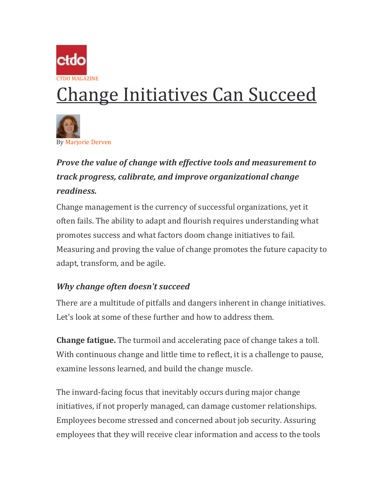

# Change Initiatives Can Succeed



## *Prove the value of change with effective tools and measurement to track progress, calibrate, and improve organizational change readiness.*

Change management is the currency of successful organizations, yet it often fails. The ability to adapt and flourish requires understanding what promotes success and what factors doom change initiatives to fail. Measuring and proving the value of change promotes the future capacity to adapt, transform, and be agile.

### *Why change often doesn't succeed*

There are a multitude of pitfalls and dangers inherent in change initiatives. Let's look at some of these further and how to address them.

**Change fatigue.** The turmoil and accelerating pace of change takes a toll. With continuous change and little time to reflect, it is a challenge to pause, examine lessons learned, and build the change muscle.

The inward-facing focus that inevitably occurs during major change initiatives, if not properly managed, can damage customer relationships. Employees become stressed and concerned about job security. Assuring employees that they will receive clear information and access to the tools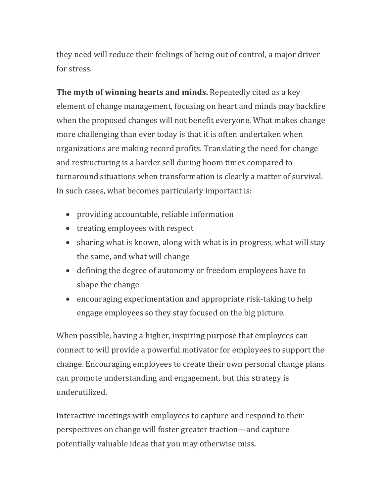they need will reduce their feelings of being out of control, a major driver for stress.

**The myth of winning hearts and minds.** Repeatedly cited as a key element of change management, focusing on heart and minds may backfire when the proposed changes will not benefit everyone. What makes change more challenging than ever today is that it is often undertaken when organizations are making record profits. Translating the need for change and restructuring is a harder sell during boom times compared to turnaround situations when transformation is clearly a matter of survival. In such cases, what becomes particularly important is:

- providing accountable, reliable information
- treating employees with respect
- sharing what is known, along with what is in progress, what will stay the same, and what will change
- defining the degree of autonomy or freedom employees have to shape the change
- encouraging experimentation and appropriate risk-taking to help engage employees so they stay focused on the big picture.

When possible, having a higher, inspiring purpose that employees can connect to will provide a powerful motivator for employees to support the change. Encouraging employees to create their own personal change plans can promote understanding and engagement, but this strategy is underutilized.

Interactive meetings with employees to capture and respond to their perspectives on change will foster greater traction—and capture potentially valuable ideas that you may otherwise miss.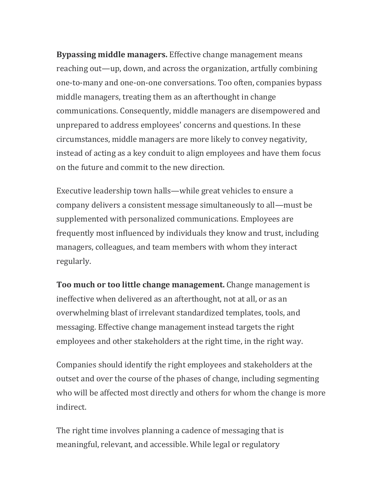**Bypassing middle managers.** Effective change management means reaching out—up, down, and across the organization, artfully combining one-to-many and one-on-one conversations. Too often, companies bypass middle managers, treating them as an afterthought in change communications. Consequently, middle managers are disempowered and unprepared to address employees' concerns and questions. In these circumstances, middle managers are more likely to convey negativity, instead of acting as a key conduit to align employees and have them focus on the future and commit to the new direction.

Executive leadership town halls—while great vehicles to ensure a company delivers a consistent message simultaneously to all—must be supplemented with personalized communications. Employees are frequently most influenced by individuals they know and trust, including managers, colleagues, and team members with whom they interact regularly.

**Too much or too little change management.** Change management is ineffective when delivered as an afterthought, not at all, or as an overwhelming blast of irrelevant standardized templates, tools, and messaging. Effective change management instead targets the right employees and other stakeholders at the right time, in the right way.

Companies should identify the right employees and stakeholders at the outset and over the course of the phases of change, including segmenting who will be affected most directly and others for whom the change is more indirect.

The right time involves planning a cadence of messaging that is meaningful, relevant, and accessible. While legal or regulatory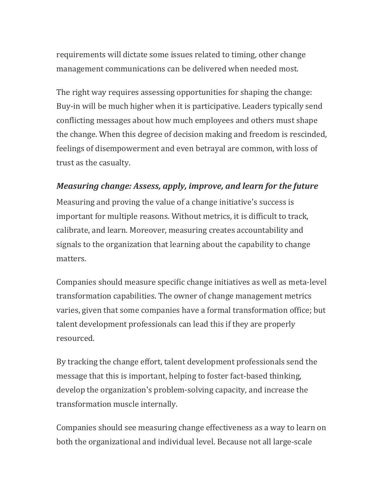requirements will dictate some issues related to timing, other change management communications can be delivered when needed most.

The right way requires assessing opportunities for shaping the change: Buy-in will be much higher when it is participative. Leaders typically send conflicting messages about how much employees and others must shape the change. When this degree of decision making and freedom is rescinded, feelings of disempowerment and even betrayal are common, with loss of trust as the casualty.

#### *Measuring change: Assess, apply, improve, and learn for the future*

Measuring and proving the value of a change initiative's success is important for multiple reasons. Without metrics, it is difficult to track, calibrate, and learn. Moreover, measuring creates accountability and signals to the organization that learning about the capability to change matters.

Companies should measure specific change initiatives as well as meta-level transformation capabilities. The owner of change management metrics varies, given that some companies have a formal transformation office; but talent development professionals can lead this if they are properly resourced.

By tracking the change effort, talent development professionals send the message that this is important, helping to foster fact-based thinking, develop the organization's problem-solving capacity, and increase the transformation muscle internally.

Companies should see measuring change effectiveness as a way to learn on both the organizational and individual level. Because not all large-scale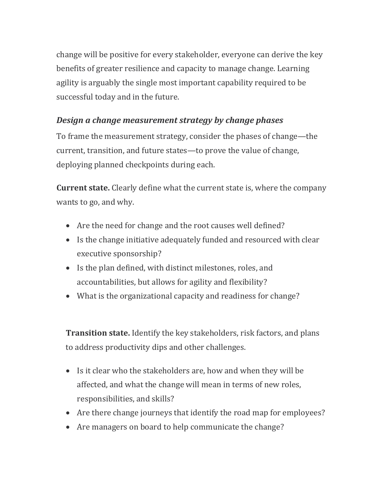change will be positive for every stakeholder, everyone can derive the key benefits of greater resilience and capacity to manage change. Learning agility is arguably the single most important capability required to be successful today and in the future.

#### *Design a change measurement strategy by change phases*

To frame the measurement strategy, consider the phases of change—the current, transition, and future states—to prove the value of change, deploying planned checkpoints during each.

**Current state.** Clearly define what the current state is, where the company wants to go, and why.

- Are the need for change and the root causes well defined?
- Is the change initiative adequately funded and resourced with clear executive sponsorship?
- Is the plan defined, with distinct milestones, roles, and accountabilities, but allows for agility and flexibility?
- What is the organizational capacity and readiness for change?

**Transition state.** Identify the key stakeholders, risk factors, and plans to address productivity dips and other challenges.

- Is it clear who the stakeholders are, how and when they will be affected, and what the change will mean in terms of new roles, responsibilities, and skills?
- Are there change journeys that identify the road map for employees?
- Are managers on board to help communicate the change?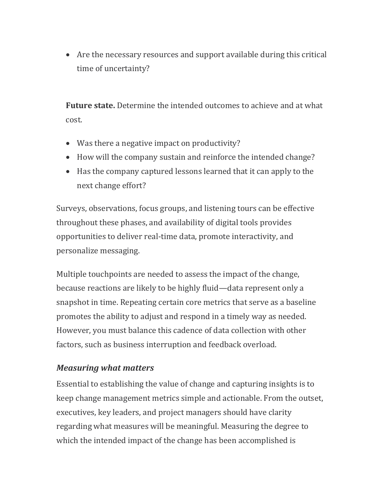• Are the necessary resources and support available during this critical time of uncertainty?

**Future state.** Determine the intended outcomes to achieve and at what cost.

- Was there a negative impact on productivity?
- How will the company sustain and reinforce the intended change?
- Has the company captured lessons learned that it can apply to the next change effort?

Surveys, observations, focus groups, and listening tours can be effective throughout these phases, and availability of digital tools provides opportunities to deliver real-time data, promote interactivity, and personalize messaging.

Multiple touchpoints are needed to assess the impact of the change, because reactions are likely to be highly fluid—data represent only a snapshot in time. Repeating certain core metrics that serve as a baseline promotes the ability to adjust and respond in a timely way as needed. However, you must balance this cadence of data collection with other factors, such as business interruption and feedback overload.

#### *Measuring what matters*

Essential to establishing the value of change and capturing insights is to keep change management metrics simple and actionable. From the outset, executives, key leaders, and project managers should have clarity regarding what measures will be meaningful. Measuring the degree to which the intended impact of the change has been accomplished is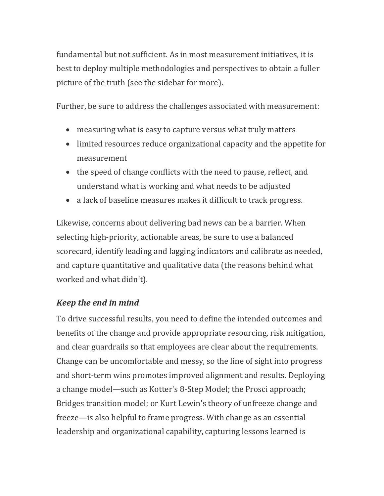fundamental but not sufficient. As in most measurement initiatives, it is best to deploy multiple methodologies and perspectives to obtain a fuller picture of the truth (see the sidebar for more).

Further, be sure to address the challenges associated with measurement:

- measuring what is easy to capture versus what truly matters
- limited resources reduce organizational capacity and the appetite for measurement
- the speed of change conflicts with the need to pause, reflect, and understand what is working and what needs to be adjusted
- a lack of baseline measures makes it difficult to track progress.

Likewise, concerns about delivering bad news can be a barrier. When selecting high-priority, actionable areas, be sure to use a balanced scorecard, identify leading and lagging indicators and calibrate as needed, and capture quantitative and qualitative data (the reasons behind what worked and what didn't).

#### *Keep the end in mind*

To drive successful results, you need to define the intended outcomes and benefits of the change and provide appropriate resourcing, risk mitigation, and clear guardrails so that employees are clear about the requirements. Change can be uncomfortable and messy, so the line of sight into progress and short-term wins promotes improved alignment and results. Deploying a change model—such as Kotter's 8-Step Model; the Prosci approach; Bridges transition model; or Kurt Lewin's theory of unfreeze change and freeze—is also helpful to frame progress. With change as an essential leadership and organizational capability, capturing lessons learned is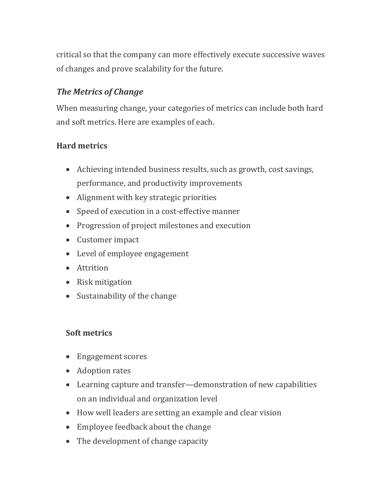critical so that the company can more effectively execute successive waves of changes and prove scalability for the future.

#### *The Metrics of Change*

When measuring change, your categories of metrics can include both hard and soft metrics. Here are examples of each.

#### **Hard metrics**

- Achieving intended business results, such as growth, cost savings, performance, and productivity improvements
- Alignment with key strategic priorities
- Speed of execution in a cost-effective manner
- Progression of project milestones and execution
- Customer impact
- Level of employee engagement
- Attrition
- Risk mitigation
- Sustainability of the change

#### **Soft metrics**

- Engagement scores
- Adoption rates
- Learning capture and transfer—demonstration of new capabilities on an individual and organization level
- How well leaders are setting an example and clear vision
- Employee feedback about the change
- The development of change capacity